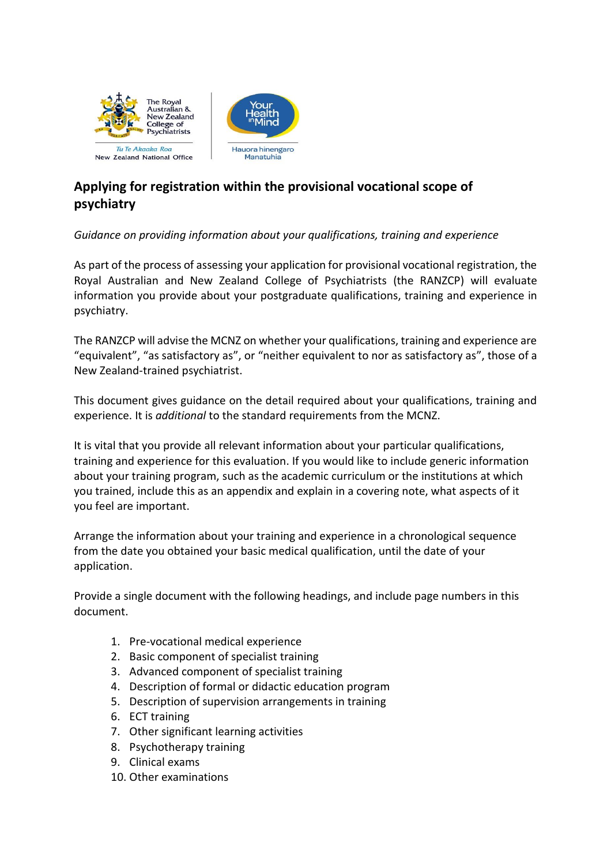

# **Applying for registration within the provisional vocational scope of psychiatry**

# *Guidance on providing information about your qualifications, training and experience*

As part of the process of assessing your application for provisional vocational registration, the Royal Australian and New Zealand College of Psychiatrists (the RANZCP) will evaluate information you provide about your postgraduate qualifications, training and experience in psychiatry.

The RANZCP will advise the MCNZ on whether your qualifications, training and experience are "equivalent", "as satisfactory as", or "neither equivalent to nor as satisfactory as", those of a New Zealand-trained psychiatrist.

This document gives guidance on the detail required about your qualifications, training and experience. It is *additional* to the standard requirements from the MCNZ.

It is vital that you provide all relevant information about your particular qualifications, training and experience for this evaluation. If you would like to include generic information about your training program, such as the academic curriculum or the institutions at which you trained, include this as an appendix and explain in a covering note, what aspects of it you feel are important.

Arrange the information about your training and experience in a chronological sequence from the date you obtained your basic medical qualification, until the date of your application.

Provide a single document with the following headings, and include page numbers in this document.

- 1. Pre-vocational medical experience
- 2. Basic component of specialist training
- 3. Advanced component of specialist training
- 4. Description of formal or didactic education program
- 5. Description of supervision arrangements in training
- 6. ECT training
- 7. Other significant learning activities
- 8. Psychotherapy training
- 9. Clinical exams
- 10. Other examinations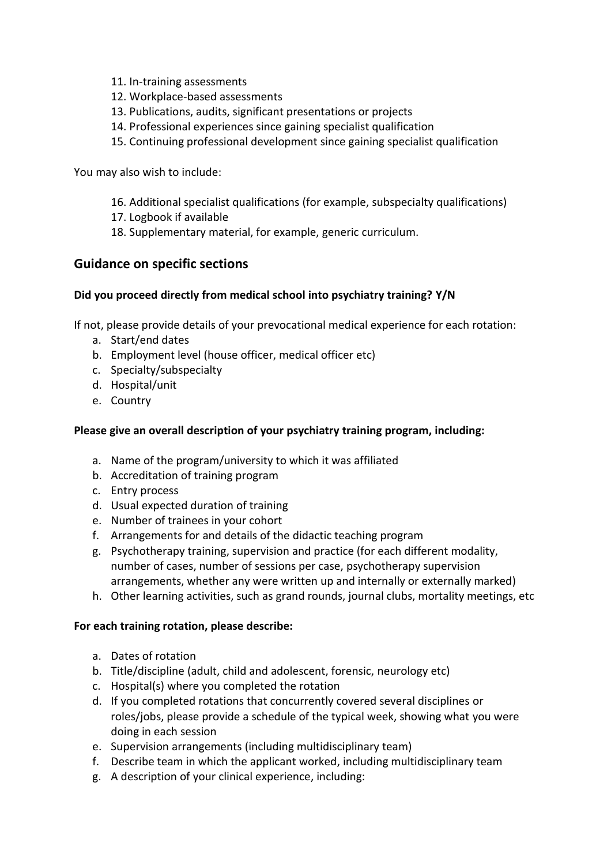- 11. In-training assessments
- 12. Workplace-based assessments
- 13. Publications, audits, significant presentations or projects
- 14. Professional experiences since gaining specialist qualification
- 15. Continuing professional development since gaining specialist qualification

You may also wish to include:

- 16. Additional specialist qualifications (for example, subspecialty qualifications)
- 17. Logbook if available
- 18. Supplementary material, for example, generic curriculum.

# **Guidance on specific sections**

#### **Did you proceed directly from medical school into psychiatry training? Y/N**

If not, please provide details of your prevocational medical experience for each rotation:

- a. Start/end dates
- b. Employment level (house officer, medical officer etc)
- c. Specialty/subspecialty
- d. Hospital/unit
- e. Country

### **Please give an overall description of your psychiatry training program, including:**

- a. Name of the program/university to which it was affiliated
- b. Accreditation of training program
- c. Entry process
- d. Usual expected duration of training
- e. Number of trainees in your cohort
- f. Arrangements for and details of the didactic teaching program
- g. Psychotherapy training, supervision and practice (for each different modality, number of cases, number of sessions per case, psychotherapy supervision arrangements, whether any were written up and internally or externally marked)
- h. Other learning activities, such as grand rounds, journal clubs, mortality meetings, etc

#### **For each training rotation, please describe:**

- a. Dates of rotation
- b. Title/discipline (adult, child and adolescent, forensic, neurology etc)
- c. Hospital(s) where you completed the rotation
- d. If you completed rotations that concurrently covered several disciplines or roles/jobs, please provide a schedule of the typical week, showing what you were doing in each session
- e. Supervision arrangements (including multidisciplinary team)
- f. Describe team in which the applicant worked, including multidisciplinary team
- g. A description of your clinical experience, including: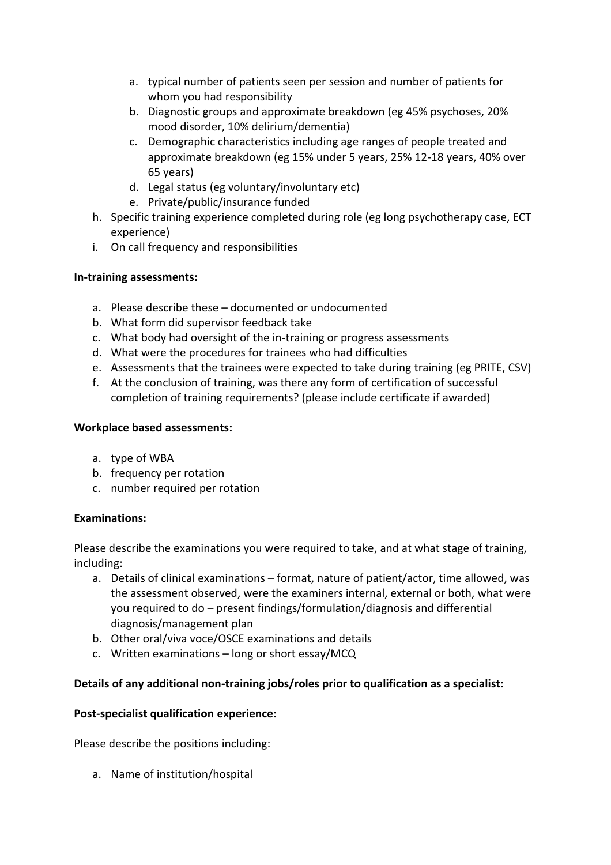- a. typical number of patients seen per session and number of patients for whom you had responsibility
- b. Diagnostic groups and approximate breakdown (eg 45% psychoses, 20% mood disorder, 10% delirium/dementia)
- c. Demographic characteristics including age ranges of people treated and approximate breakdown (eg 15% under 5 years, 25% 12-18 years, 40% over 65 years)
- d. Legal status (eg voluntary/involuntary etc)
- e. Private/public/insurance funded
- h. Specific training experience completed during role (eg long psychotherapy case, ECT experience)
- i. On call frequency and responsibilities

#### **In-training assessments:**

- a. Please describe these documented or undocumented
- b. What form did supervisor feedback take
- c. What body had oversight of the in-training or progress assessments
- d. What were the procedures for trainees who had difficulties
- e. Assessments that the trainees were expected to take during training (eg PRITE, CSV)
- f. At the conclusion of training, was there any form of certification of successful completion of training requirements? (please include certificate if awarded)

#### **Workplace based assessments:**

- a. type of WBA
- b. frequency per rotation
- c. number required per rotation

# **Examinations:**

Please describe the examinations you were required to take, and at what stage of training, including:

- a. Details of clinical examinations format, nature of patient/actor, time allowed, was the assessment observed, were the examiners internal, external or both, what were you required to do – present findings/formulation/diagnosis and differential diagnosis/management plan
- b. Other oral/viva voce/OSCE examinations and details
- c. Written examinations long or short essay/MCQ

# **Details of any additional non-training jobs/roles prior to qualification as a specialist:**

# **Post-specialist qualification experience:**

Please describe the positions including:

a. Name of institution/hospital